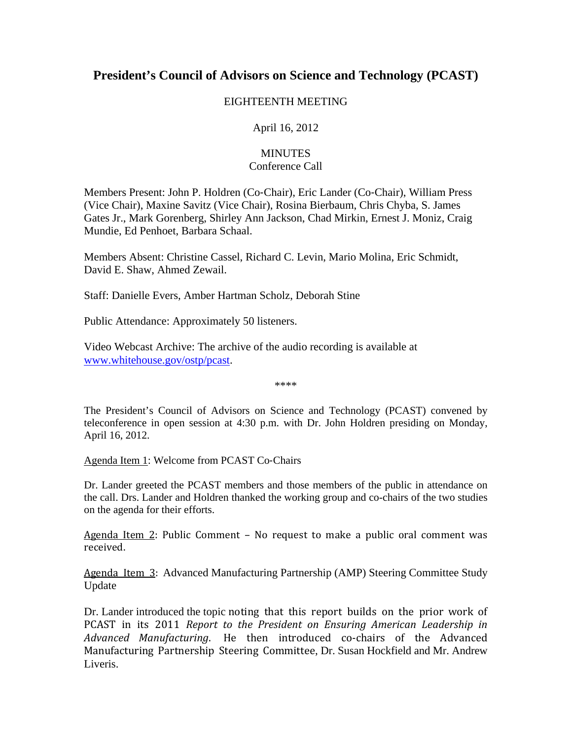## **President's Council of Advisors on Science and Technology (PCAST)**

## EIGHTEENTH MEETING

April 16, 2012

## **MINUTES** Conference Call

Members Present: John P. Holdren (Co‐Chair), Eric Lander (Co‐Chair), William Press (Vice Chair), Maxine Savitz (Vice Chair), Rosina Bierbaum, Chris Chyba, S. James Gates Jr., Mark Gorenberg, Shirley Ann Jackson, Chad Mirkin, Ernest J. Moniz, Craig Mundie, Ed Penhoet, Barbara Schaal.

Members Absent: Christine Cassel, Richard C. Levin, Mario Molina, Eric Schmidt, David E. Shaw, Ahmed Zewail.

Staff: Danielle Evers, Amber Hartman Scholz, Deborah Stine

Public Attendance: Approximately 50 listeners.

Video Webcast Archive: The archive of the audio recording is available at www.whitehouse.gov/ostp/pcast.

\*\*\*\*

The President's Council of Advisors on Science and Technology (PCAST) convened by teleconference in open session at 4:30 p.m. with Dr. John Holdren presiding on Monday, April 16, 2012.

Agenda Item 1: Welcome from PCAST Co-Chairs

Dr. Lander greeted the PCAST members and those members of the public in attendance on the call. Drs. Lander and Holdren thanked the working group and co-chairs of the two studies on the agenda for their efforts.

Agenda Item  $2$ : Public Comment - No request to make a public oral comment was received. 

Agenda Item 3: Advanced Manufacturing Partnership (AMP) Steering Committee Study Update

Dr. Lander introduced the topic noting that this report builds on the prior work of PCAST in its 2011 *Report to the President on Ensuring American Leadership in* Advanced Manufacturing. He then introduced co-chairs of the Advanced Manufacturing Partnership Steering Committee, Dr. Susan Hockfield and Mr. Andrew Liveris.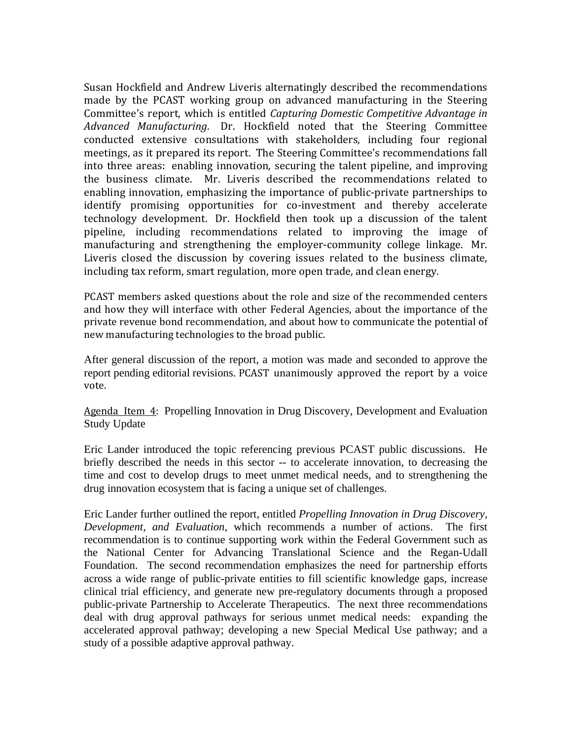Susan Hockfield and Andrew Liveris alternatingly described the recommendations made by the PCAST working group on advanced manufacturing in the Steering Committee's report, which is entitled *Capturing Domestic Competitive Advantage in Advanced Manufacturing*. Dr. Hockfield noted that the Steering Committee conducted extensive consultations with stakeholders, including four regional meetings, as it prepared its report. The Steering Committee's recommendations fall into three areas: enabling innovation, securing the talent pipeline, and improving the business climate. Mr. Liveris described the recommendations related to enabling innovation, emphasizing the importance of public-private partnerships to identify promising opportunities for co-investment and thereby accelerate technology development. Dr. Hockfield then took up a discussion of the talent pipeline, including recommendations related to improving the image of manufacturing and strengthening the employer-community college linkage. Mr. Liveris closed the discussion by covering issues related to the business climate, including tax reform, smart regulation, more open trade, and clean energy.

PCAST members asked questions about the role and size of the recommended centers and how they will interface with other Federal Agencies, about the importance of the private revenue bond recommendation, and about how to communicate the potential of new manufacturing technologies to the broad public.

After general discussion of the report, a motion was made and seconded to approve the report pending editorial revisions. PCAST unanimously approved the report by a voice vote. 

Agenda Item 4: Propelling Innovation in Drug Discovery, Development and Evaluation Study Update

Eric Lander introduced the topic referencing previous PCAST public discussions. He briefly described the needs in this sector -- to accelerate innovation, to decreasing the time and cost to develop drugs to meet unmet medical needs, and to strengthening the drug innovation ecosystem that is facing a unique set of challenges.

Eric Lander further outlined the report, entitled *Propelling Innovation in Drug Discovery, Development, and Evaluation*, which recommends a number of actions. The first recommendation is to continue supporting work within the Federal Government such as the National Center for Advancing Translational Science and the Regan-Udall Foundation. The second recommendation emphasizes the need for partnership efforts across a wide range of public-private entities to fill scientific knowledge gaps, increase clinical trial efficiency, and generate new pre-regulatory documents through a proposed public-private Partnership to Accelerate Therapeutics. The next three recommendations deal with drug approval pathways for serious unmet medical needs: expanding the accelerated approval pathway; developing a new Special Medical Use pathway; and a study of a possible adaptive approval pathway.